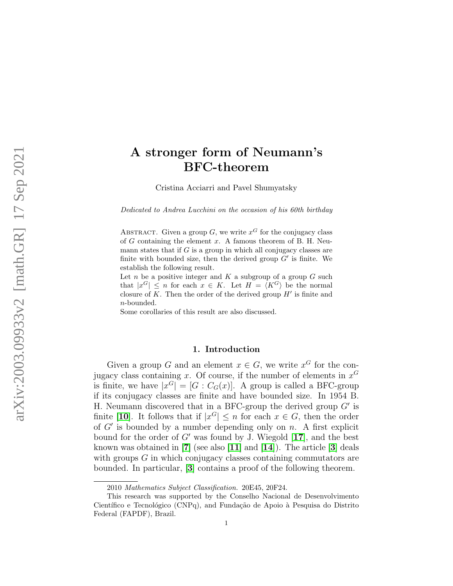# A stronger form of Neumann's BFC-theorem

Cristina Acciarri and Pavel Shumyatsky

Dedicated to Andrea Lucchini on the occasion of his 60th birthday

ABSTRACT. Given a group G, we write  $x^G$  for the conjugacy class of  $G$  containing the element  $x$ . A famous theorem of B. H. Neumann states that if  $G$  is a group in which all conjugacy classes are finite with bounded size, then the derived group  $G'$  is finite. We establish the following result.

Let  $n$  be a positive integer and  $K$  a subgroup of a group  $G$  such that  $|x^G| \leq n$  for each  $x \in K$ . Let  $H = \langle K^G \rangle$  be the normal closure of  $K$ . Then the order of the derived group  $H'$  is finite and n-bounded.

Some corollaries of this result are also discussed.

## 1. Introduction

Given a group G and an element  $x \in G$ , we write  $x^G$  for the conjugacy class containing x. Of course, if the number of elements in  $x^G$ is finite, we have  $|x^G| = [G : C_G(x)]$ . A group is called a BFC-group if its conjugacy classes are finite and have bounded size. In 1954 B. H. Neumann discovered that in a BFC-group the derived group  $G'$  is finite [[10](#page-7-0)]. It follows that if  $|x^G| \leq n$  for each  $x \in G$ , then the order of  $G'$  is bounded by a number depending only on n. A first explicit bound for the order of  $G'$  was found by J. Wiegold [[17](#page-8-0)], and the best known was obtained in  $[7]$  $[7]$  $[7]$  (see also  $[11]$  $[11]$  $[11]$  and  $[14]$  $[14]$  $[14]$ ). The article  $[3]$  $[3]$  $[3]$  deals with groups G in which conjugacy classes containing commutators are bounded. In particular, [[3](#page-7-2)] contains a proof of the following theorem.

<sup>2010</sup> Mathematics Subject Classification. 20E45, 20F24.

This research was supported by the Conselho Nacional de Desenvolvimento Científico e Tecnológico (CNPq), and Fundação de Apoio à Pesquisa do Distrito Federal (FAPDF), Brazil.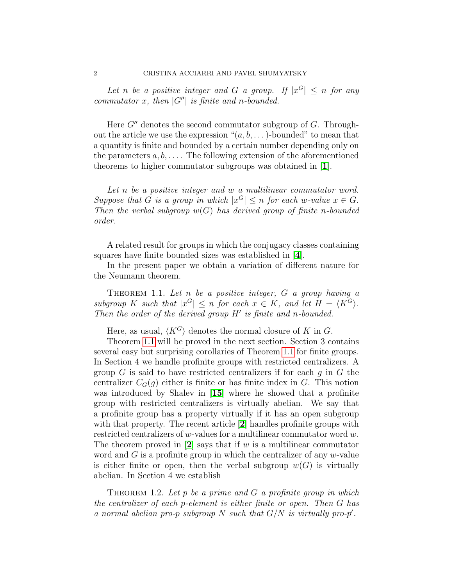Let n be a positive integer and G a group. If  $|x^G| \leq n$  for any commutator x, then  $|G''|$  is finite and n-bounded.

Here  $G''$  denotes the second commutator subgroup of  $G$ . Throughout the article we use the expression " $(a, b, \dots)$ -bounded" to mean that a quantity is finite and bounded by a certain number depending only on the parameters  $a, b, \ldots$ . The following extension of the aforementioned theorems to higher commutator subgroups was obtained in [[1](#page-7-3)].

Let n be a positive integer and w a multilinear commutator word. Suppose that G is a group in which  $|x^G| \le n$  for each w-value  $x \in G$ . Then the verbal subgroup  $w(G)$  has derived group of finite n-bounded order.

A related result for groups in which the conjugacy classes containing squares have finite bounded sizes was established in [[4](#page-7-4)].

In the present paper we obtain a variation of different nature for the Neumann theorem.

<span id="page-1-0"></span>THEOREM 1.1. Let n be a positive integer,  $G$  a group having a subgroup K such that  $|x^G| \leq n$  for each  $x \in K$ , and let  $H = \langle K^G \rangle$ . Then the order of the derived group  $H'$  is finite and n-bounded.

Here, as usual,  $\langle K^G \rangle$  denotes the normal closure of K in G.

Theorem [1.1](#page-1-0) will be proved in the next section. Section 3 contains several easy but surprising corollaries of Theorem [1.1](#page-1-0) for finite groups. In Section 4 we handle profinite groups with restricted centralizers. A group  $G$  is said to have restricted centralizers if for each  $g$  in  $G$  the centralizer  $C_G(q)$  either is finite or has finite index in G. This notion was introduced by Shalev in [[15](#page-8-3)] where he showed that a profinite group with restricted centralizers is virtually abelian. We say that a profinite group has a property virtually if it has an open subgroup with that property. The recent article [[2](#page-7-5)] handles profinite groups with restricted centralizers of w-values for a multilinear commutator word w. The theorem proved in  $[2]$  $[2]$  $[2]$  says that if w is a multilinear commutator word and  $G$  is a profinite group in which the centralizer of any  $w$ -value is either finite or open, then the verbal subgroup  $w(G)$  is virtually abelian. In Section 4 we establish

<span id="page-1-1"></span>THEOREM 1.2. Let p be a prime and  $G$  a profinite group in which the centralizer of each p-element is either finite or open. Then G has a normal abelian pro-p subgroup N such that  $G/N$  is virtually pro-p'.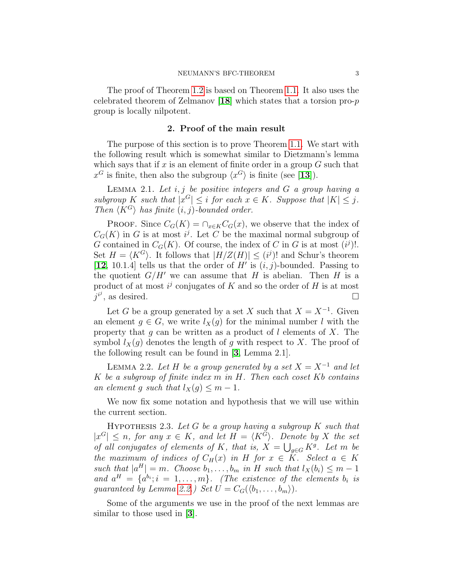The proof of Theorem [1.2](#page-1-1) is based on Theorem [1.1.](#page-1-0) It also uses the celebrated theorem of Zelmanov  $[18]$  $[18]$  $[18]$  which states that a torsion pro-p group is locally nilpotent.

#### 2. Proof of the main result

The purpose of this section is to prove Theorem [1.1.](#page-1-0) We start with the following result which is somewhat similar to Dietzmann's lemma which says that if x is an element of finite order in a group  $G$  such that  $x^G$  is finite, then also the subgroup  $\langle x^G \rangle$  is finite (see [[13](#page-8-5)]).

<span id="page-2-2"></span>LEMMA 2.1. Let  $i, j$  be positive integers and  $G$  a group having a subgroup K such that  $|x^G| \leq i$  for each  $x \in K$ . Suppose that  $|K| \leq j$ . Then  $\langle K^G \rangle$  has finite  $(i, j)$ -bounded order.

**PROOF.** Since  $C_G(K) = \bigcap_{x \in K} C_G(x)$ , we observe that the index of  $C_G(K)$  in G is at most i<sup>j</sup>. Let C be the maximal normal subgroup of G contained in  $C_G(K)$ . Of course, the index of C in G is at most  $(i^j)!$ . Set  $H = \langle K^G \rangle$ . It follows that  $|H/Z(H)| \leq (i^j)!$  and Schur's theorem [[12](#page-8-6), 10.1.4] tells us that the order of  $H'$  is  $(i, j)$ -bounded. Passing to the quotient  $G/H'$  we can assume that H is abelian. Then H is a product of at most  $i^j$  conjugates of K and so the order of H is at most  $j^{i^j}$ , as desired.

Let G be a group generated by a set X such that  $X = X^{-1}$ . Given an element  $g \in G$ , we write  $l_X(g)$  for the minimal number l with the property that g can be written as a product of l elements of  $X$ . The symbol  $l_X(g)$  denotes the length of g with respect to X. The proof of the following result can be found in [[3](#page-7-2), Lemma 2.1].

<span id="page-2-0"></span>LEMMA 2.2. Let H be a group generated by a set  $X = X^{-1}$  and let K be a subgroup of finite index  $m$  in  $H$ . Then each coset  $Kb$  contains an element g such that  $l_X(g) \leq m-1$ .

We now fix some notation and hypothesis that we will use within the current section.

<span id="page-2-1"></span>HYPOTHESIS 2.3. Let G be a group having a subgroup  $K$  such that  $|x^G| \leq n$ , for any  $x \in K$ , and let  $H = \langle K^G \rangle$ . Denote by X the set of all conjugates of elements of K, that is,  $X = \bigcup_{g \in G} K^g$ . Let m be the maximum of indices of  $C_H(x)$  in H for  $x \in K$ . Select  $a \in K$ such that  $|a^H| = m$ . Choose  $b_1, \ldots, b_m$  in H such that  $l_X(b_i) \leq m-1$ and  $a^H = \{a^{b_i}; i = 1, \ldots, m\}$ . (The existence of the elements  $b_i$  is guaranteed by Lemma [2.2.](#page-2-0)) Set  $U = C_G(\langle b_1, \ldots, b_m \rangle)$ .

Some of the arguments we use in the proof of the next lemmas are similar to those used in [[3](#page-7-2)].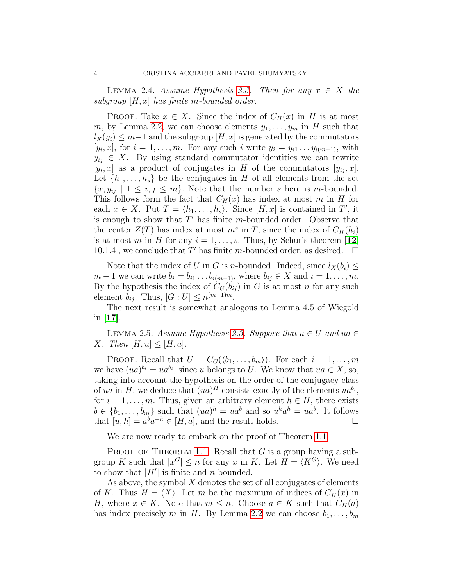<span id="page-3-0"></span>LEMMA 2.4. Assume Hypothesis [2.3.](#page-2-1) Then for any  $x \in X$  the subgroup  $[H, x]$  has finite m-bounded order.

**PROOF.** Take  $x \in X$ . Since the index of  $C_H(x)$  in H is at most m, by Lemma [2.2,](#page-2-0) we can choose elements  $y_1, \ldots, y_m$  in H such that  $l_X(y_i) \leq m-1$  and the subgroup  $[H, x]$  is generated by the commutators  $[y_i, x]$ , for  $i = 1, \ldots, m$ . For any such i write  $y_i = y_{i1} \ldots y_{i(m-1)}$ , with  $y_{ij} \in X$ . By using standard commutator identities we can rewrite  $[y_i, x]$  as a product of conjugates in H of the commutators  $[y_{ij}, x]$ . Let  $\{h_1, \ldots, h_s\}$  be the conjugates in H of all elements from the set  $\{x, y_{ij} \mid 1 \leq i, j \leq m\}$ . Note that the number s here is m-bounded. This follows form the fact that  $C_H(x)$  has index at most m in H for each  $x \in X$ . Put  $T = \langle h_1, \ldots, h_s \rangle$ . Since  $[H, x]$  is contained in  $T'$ , it is enough to show that  $T'$  has finite m-bounded order. Observe that the center  $Z(T)$  has index at most  $m<sup>s</sup>$  in T, since the index of  $C_H(h_i)$ is at most m in H for any  $i = 1, \ldots, s$ . Thus, by Schur's theorem [[12](#page-8-6), 10.1.4, we conclude that T' has finite m-bounded order, as desired.  $\square$ 

Note that the index of U in G is n-bounded. Indeed, since  $l_X(b_i) \leq$  $m-1$  we can write  $b_i = b_{i1} \ldots b_{i(m-1)}$ , where  $b_{ij} \in X$  and  $i = 1, \ldots, m$ . By the hypothesis the index of  $C_G(b_{ij})$  in G is at most n for any such element  $b_{ij}$ . Thus,  $[G:U] \leq n^{(m-1)m}$ .

The next result is somewhat analogous to Lemma 4.5 of Wiegold in  $|17|$  $|17|$  $|17|$ .

<span id="page-3-1"></span>LEMMA 2.5. Assume Hypothesis [2.3.](#page-2-1) Suppose that  $u \in U$  and  $u \in E$ X. Then  $[H, u] \leq [H, a]$ .

PROOF. Recall that  $U = C_G(\langle b_1, \ldots, b_m \rangle)$ . For each  $i = 1, \ldots, m$ we have  $(ua)^{b_i} = ua^{b_i}$ , since u belongs to U. We know that  $ua \in X$ , so, taking into account the hypothesis on the order of the conjugacy class of ua in H, we deduce that  $(ua)^H$  consists exactly of the elements  $ua^{b_i}$ , for  $i = 1, \ldots, m$ . Thus, given an arbitrary element  $h \in H$ , there exists  $b \in \{b_1, \ldots, b_m\}$  such that  $(ua)^h = ua^b$  and so  $u^h a^h = ua^b$ . It follows that  $[u, h] = a^b a^{-h} \in [H, a]$ , and the result holds.

We are now ready to embark on the proof of Theorem [1.1.](#page-1-0)

PROOF OF THEOREM [1.1.](#page-1-0) Recall that  $G$  is a group having a subgroup K such that  $|x^G| \le n$  for any x in K. Let  $H = \langle K^G \rangle$ . We need to show that  $|H'|$  is finite and *n*-bounded.

As above, the symbol  $X$  denotes the set of all conjugates of elements of K. Thus  $H = \langle X \rangle$ . Let m be the maximum of indices of  $C_H(x)$  in H, where  $x \in K$ . Note that  $m \leq n$ . Choose  $a \in K$  such that  $C_H(a)$ has index precisely m in H. By Lemma [2.2](#page-2-0) we can choose  $b_1, \ldots, b_m$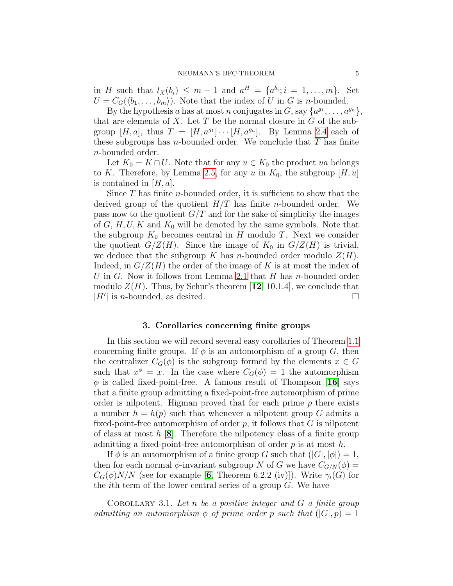in H such that  $l_X(b_i) \leq m-1$  and  $a^H = \{a^{b_i}; i = 1, \ldots, m\}$ . Set  $U = C_G(\langle b_1, \ldots, b_m \rangle)$ . Note that the index of U in G is n-bounded.

By the hypothesis a has at most n conjugates in  $G$ , say  $\{a^{g_1}, \ldots, a^{g_n}\},$ that are elements of  $X$ . Let  $T$  be the normal closure in  $G$  of the subgroup  $[H, a]$ , thus  $T = [H, a^{g_1}] \cdots [H, a^{g_n}]$ . By Lemma [2.4](#page-3-0) each of these subgroups has *n*-bounded order. We conclude that  $T$  has finite n-bounded order.

Let  $K_0 = K \cap U$ . Note that for any  $u \in K_0$  the product ua belongs to K. Therefore, by Lemma [2.5,](#page-3-1) for any u in  $K_0$ , the subgroup  $[H, u]$ is contained in  $[H, a]$ .

Since  $T$  has finite *n*-bounded order, it is sufficient to show that the derived group of the quotient  $H/T$  has finite *n*-bounded order. We pass now to the quotient  $G/T$  and for the sake of simplicity the images of  $G, H, U, K$  and  $K_0$  will be denoted by the same symbols. Note that the subgroup  $K_0$  becomes central in H modulo T. Next we consider the quotient  $G/Z(H)$ . Since the image of  $K_0$  in  $G/Z(H)$  is trivial, we deduce that the subgroup K has *n*-bounded order modulo  $Z(H)$ . Indeed, in  $G/Z(H)$  the order of the image of K is at most the index of U in G. Now it follows from Lemma [2.1](#page-2-2) that  $H$  has n-bounded order modulo  $Z(H)$ . Thus, by Schur's theorem [[12](#page-8-6), 10.1.4], we conclude that  $|H'|$  is *n*-bounded, as desired.

### 3. Corollaries concerning finite groups

In this section we will record several easy corollaries of Theorem [1.1](#page-1-0) concerning finite groups. If  $\phi$  is an automorphism of a group G, then the centralizer  $C_G(\phi)$  is the subgroup formed by the elements  $x \in G$ such that  $x^{\phi} = x$ . In the case where  $C_G(\phi) = 1$  the automorphism  $\phi$  is called fixed-point-free. A famous result of Thompson [[16](#page-8-7)] says that a finite group admitting a fixed-point-free automorphism of prime order is nilpotent. Higman proved that for each prime  $p$  there exists a number  $h = h(p)$  such that whenever a nilpotent group G admits a fixed-point-free automorphism of order  $p$ , it follows that  $G$  is nilpotent of class at most  $h$  [[8](#page-7-6)]. Therefore the nilpotency class of a finite group admitting a fixed-point-free automorphism of order  $p$  is at most  $h$ .

If  $\phi$  is an automorphism of a finite group G such that  $(|G|, |\phi|) = 1$ , then for each normal  $\phi$ -invariant subgroup N of G we have  $C_{G/N}(\phi)$  =  $C_G(\phi)N/N$  (see for example [[6](#page-7-7), Theorem 6.2.2 (iv)]). Write  $\gamma_i(G)$  for the ith term of the lower central series of a group G. We have

<span id="page-4-0"></span>COROLLARY 3.1. Let n be a positive integer and  $G$  a finite group admitting an automorphism  $\phi$  of prime order p such that  $(|G|, p) = 1$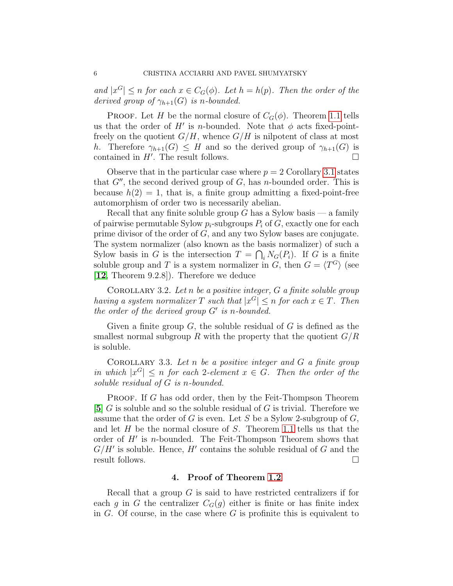and  $|x^G| \leq n$  for each  $x \in C_G(\phi)$ . Let  $h = h(p)$ . Then the order of the derived group of  $\gamma_{h+1}(G)$  is n-bounded.

**PROOF.** Let H be the normal closure of  $C_G(\phi)$ . Theorem [1.1](#page-1-0) tells us that the order of  $H'$  is n-bounded. Note that  $\phi$  acts fixed-pointfreely on the quotient  $G/H$ , whence  $G/H$  is nilpotent of class at most h. Therefore  $\gamma_{h+1}(G) \leq H$  and so the derived group of  $\gamma_{h+1}(G)$  is contained in  $H'$ . The result follows.

Observe that in the particular case where  $p = 2$  Corollary [3.1](#page-4-0) states that  $G''$ , the second derived group of  $G$ , has n-bounded order. This is because  $h(2) = 1$ , that is, a finite group admitting a fixed-point-free automorphism of order two is necessarily abelian.

Recall that any finite soluble group  $G$  has a Sylow basis — a family of pairwise permutable Sylow  $p_i$ -subgroups  $P_i$  of  $G$ , exactly one for each prime divisor of the order of G, and any two Sylow bases are conjugate. The system normalizer (also known as the basis normalizer) of such a Sylow basis in G is the intersection  $T = \bigcap_i N_G(P_i)$ . If G is a finite soluble group and T is a system normalizer in G, then  $G = \langle T^G \rangle$  (see [[12](#page-8-6), Theorem 9.2.8]). Therefore we deduce

COROLLARY 3.2. Let n be a positive integer,  $G$  a finite soluble group having a system normalizer T such that  $|x^G| \le n$  for each  $x \in T$ . Then the order of the derived group  $G'$  is n-bounded.

Given a finite group  $G$ , the soluble residual of  $G$  is defined as the smallest normal subgroup R with the property that the quotient  $G/R$ is soluble.

COROLLARY 3.3. Let  $n$  be a positive integer and  $G$  a finite group in which  $|x^G| \leq n$  for each 2-element  $x \in G$ . Then the order of the soluble residual of G is n-bounded.

PROOF. If G has odd order, then by the Feit-Thompson Theorem [[5](#page-7-8)]  $G$  is soluble and so the soluble residual of  $G$  is trivial. Therefore we assume that the order of G is even. Let S be a Sylow 2-subgroup of  $G$ , and let  $H$  be the normal closure of  $S$ . Theorem [1.1](#page-1-0) tells us that the order of  $H'$  is n-bounded. The Feit-Thompson Theorem shows that  $G/H'$  is soluble. Hence,  $H'$  contains the soluble residual of G and the result follows.

## 4. Proof of Theorem [1.2](#page-1-1)

Recall that a group  $G$  is said to have restricted centralizers if for each g in G the centralizer  $C_G(g)$  either is finite or has finite index in  $G$ . Of course, in the case where  $G$  is profinite this is equivalent to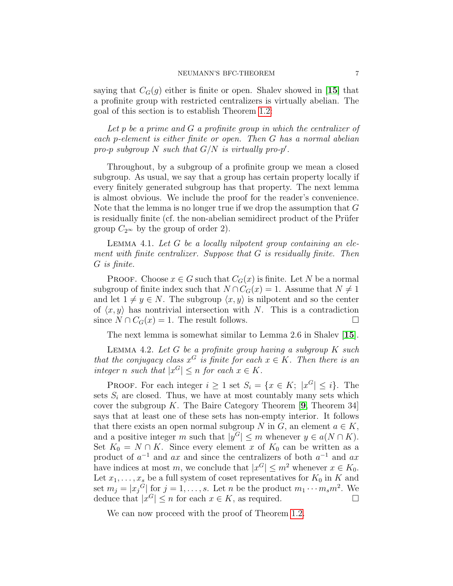saying that  $C_G(g)$  either is finite or open. Shalev showed in [[15](#page-8-3)] that a profinite group with restricted centralizers is virtually abelian. The goal of this section is to establish Theorem [1.2:](#page-1-1)

Let p be a prime and  $G$  a profinite group in which the centralizer of each p-element is either finite or open. Then G has a normal abelian pro-p subgroup N such that  $G/N$  is virtually pro-p'.

Throughout, by a subgroup of a profinite group we mean a closed subgroup. As usual, we say that a group has certain property locally if every finitely generated subgroup has that property. The next lemma is almost obvious. We include the proof for the reader's convenience. Note that the lemma is no longer true if we drop the assumption that G is residually finite (cf. the non-abelian semidirect product of the Prüfer group  $C_{2^{\infty}}$  by the group of order 2).

<span id="page-6-1"></span>LEMMA 4.1. Let  $G$  be a locally nilpotent group containing an element with finite centralizer. Suppose that G is residually finite. Then G is finite.

**PROOF.** Choose  $x \in G$  such that  $C_G(x)$  is finite. Let N be a normal subgroup of finite index such that  $N \cap C_G(x) = 1$ . Assume that  $N \neq 1$ and let  $1 \neq y \in N$ . The subgroup  $\langle x, y \rangle$  is nilpotent and so the center of  $\langle x, y \rangle$  has nontrivial intersection with N. This is a contradiction since  $N \cap C_G(x) = 1$ . The result follows.

The next lemma is somewhat similar to Lemma 2.6 in Shalev [[15](#page-8-3)].

<span id="page-6-0"></span>LEMMA 4.2. Let  $G$  be a profinite group having a subgroup  $K$  such that the conjugacy class  $x^G$  is finite for each  $x \in K$ . Then there is an integer n such that  $|x^G| \leq n$  for each  $x \in K$ .

PROOF. For each integer  $i \geq 1$  set  $S_i = \{x \in K; |x^G| \leq i\}$ . The sets  $S_i$  are closed. Thus, we have at most countably many sets which cover the subgroup K. The Baire Category Theorem  $[9,$  $[9,$  $[9,$  Theorem 34] says that at least one of these sets has non-empty interior. It follows that there exists an open normal subgroup N in G, an element  $a \in K$ , and a positive integer m such that  $|y^G| \le m$  whenever  $y \in a(N \cap K)$ . Set  $K_0 = N \cap K$ . Since every element x of  $K_0$  can be written as a product of  $a^{-1}$  and ax and since the centralizers of both  $a^{-1}$  and ax have indices at most m, we conclude that  $|x^G| \le m^2$  whenever  $x \in K_0$ . Let  $x_1, \ldots, x_s$  be a full system of coset representatives for  $K_0$  in K and set  $m_j = |x_j|^G$  for  $j = 1, ..., s$ . Let n be the product  $m_1 \cdots m_s m^2$ . We deduce that  $|x^G| \leq n$  for each  $x \in K$ , as required.

We can now proceed with the proof of Theorem [1.2.](#page-1-1)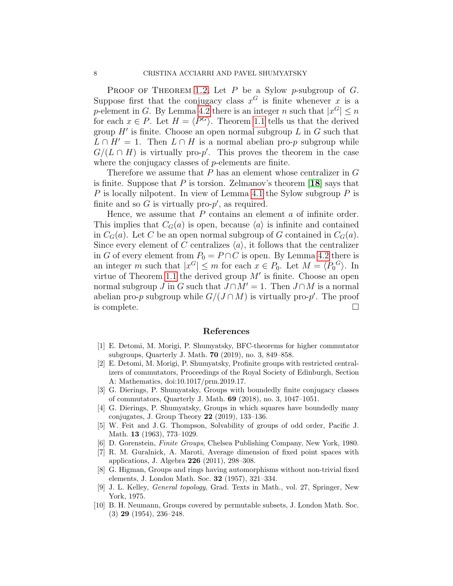PROOF OF THEOREM [1.2.](#page-1-1) Let  $P$  be a Sylow p-subgroup of  $G$ . Suppose first that the conjugacy class  $x^G$  is finite whenever x is a p-element in G. By Lemma [4.2](#page-6-0) there is an integer n such that  $|x^G| \le n$ for each  $x \in P$ . Let  $H = \langle P^G \rangle$ . Theorem [1.1](#page-1-0) tells us that the derived group  $H'$  is finite. Choose an open normal subgroup  $L$  in  $G$  such that  $L \cap H' = 1$ . Then  $L \cap H$  is a normal abelian pro-p subgroup while  $G/(L \cap H)$  is virtually pro-p'. This proves the theorem in the case where the conjugacy classes of p-elements are finite.

Therefore we assume that P has an element whose centralizer in G is finite. Suppose that  $P$  is torsion. Zelmanov's theorem [[18](#page-8-4)] says that P is locally nilpotent. In view of Lemma [4.1](#page-6-1) the Sylow subgroup  $P$  is finite and so  $G$  is virtually pro- $p'$ , as required.

Hence, we assume that  $P$  contains an element  $a$  of infinite order. This implies that  $C_G(a)$  is open, because  $\langle a \rangle$  is infinite and contained in  $C_G(a)$ . Let C be an open normal subgroup of G contained in  $C_G(a)$ . Since every element of C centralizes  $\langle a \rangle$ , it follows that the centralizer in G of every element from  $P_0 = P \cap C$  is open. By Lemma [4.2](#page-6-0) there is an integer m such that  $|x^G| \le m$  for each  $x \in P_0$ . Let  $M = \langle P_0^G \rangle$ . In virtue of Theorem [1.1](#page-1-0) the derived group  $M'$  is finite. Choose an open normal subgroup J in G such that  $J \cap M' = 1$ . Then  $J \cap M$  is a normal abelian pro-p subgroup while  $G/(J \cap M)$  is virtually pro-p'. The proof is complete.

#### References

- <span id="page-7-3"></span>[1] E. Detomi, M. Morigi, P. Shumyatsky, BFC-theorems for higher commutator subgroups, Quarterly J. Math. 70 (2019), no. 3, 849–858.
- <span id="page-7-5"></span>[2] E. Detomi, M. Morigi, P. Shumyatsky, Profinite groups with restricted centralizers of commutators, Proceedings of the Royal Society of Edinburgh, Section A: Mathematics, doi:10.1017/prm.2019.17.
- <span id="page-7-2"></span>[3] G. Dierings, P. Shumyatsky, Groups with boundedly finite conjugacy classes of commutators, Quarterly J. Math. 69 (2018), no. 3, 1047–1051.
- <span id="page-7-4"></span>[4] G. Dierings, P. Shumyatsky, Groups in which squares have boundedly many conjugates, J. Group Theory 22 (2019), 133–136.
- <span id="page-7-8"></span>[5] W. Feit and J. G. Thompson, Solvability of groups of odd order, Pacific J. Math. 13 (1963), 773–1029.
- <span id="page-7-7"></span>[6] D. Gorenstein, Finite Groups, Chelsea Publishing Company, New York, 1980.
- <span id="page-7-1"></span>[7] R. M. Guralnick, A. Maroti, Average dimension of fixed point spaces with applications, J. Algebra 226 (2011), 298–308.
- <span id="page-7-6"></span>[8] G. Higman, Groups and rings having automorphisms without non-trivial fixed elements, J. London Math. Soc. 32 (1957), 321–334.
- <span id="page-7-9"></span>[9] J. L. Kelley, General topology, Grad. Texts in Math., vol. 27, Springer, New York, 1975.
- <span id="page-7-0"></span>[10] B. H. Neumann, Groups covered by permutable subsets, J. London Math. Soc. (3) 29 (1954), 236–248.